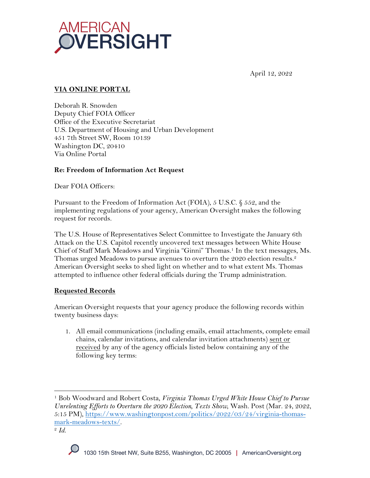

April 12, 2022

# **VIA ONLINE PORTAL**

Deborah R. Snowden Deputy Chief FOIA Officer Office of the Executive Secretariat U.S. Department of Housing and Urban Development 451 7th Street SW, Room 10139 Washington DC, 20410 Via Online Portal

## **Re: Freedom of Information Act Request**

Dear FOIA Officers:

Pursuant to the Freedom of Information Act (FOIA), 5 U.S.C. § 552, and the implementing regulations of your agency, American Oversight makes the following request for records.

The U.S. House of Representatives Select Committee to Investigate the January 6th Attack on the U.S. Capitol recently uncovered text messages between White House Chief of Staff Mark Meadows and Virginia "Ginni" Thomas.<sup>1</sup> In the text messages, Ms. Thomas urged Meadows to pursue avenues to overturn the 2020 election results.<sup>2</sup> American Oversight seeks to shed light on whether and to what extent Ms. Thomas attempted to influence other federal officials during the Trump administration.

## **Requested Records**

American Oversight requests that your agency produce the following records within twenty business days:

1. All email communications (including emails, email attachments, complete email chains, calendar invitations, and calendar invitation attachments) sent or received by any of the agency officials listed below containing any of the following key terms:

<sup>2</sup> *Id*.



<sup>1</sup> Bob Woodward and Robert Costa, *Virginia Thomas Urged White House Chief to Pursue Unrelenting Efforts to Overturn the 2020 Election, Texts Show*, Wash. Post (Mar. 24, 2022, 5:15 PM), https://www.washingtonpost.com/politics/2022/03/24/virginia-thomasmark-meadows-texts/.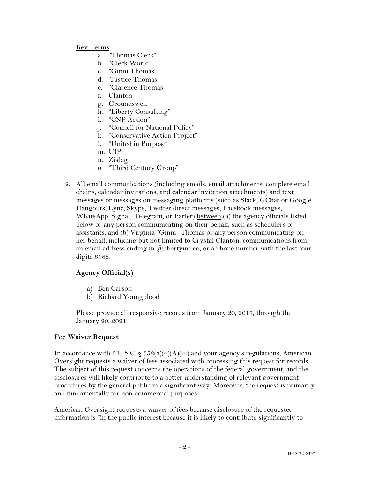#### Key Terms:

- a. "Thomas Clerk"
- b. "Clerk World"
- c. "Ginni Thomas"
- d. "Justice Thomas"
- e. "Clarence Thomas"
- f. Clanton
- g. Groundswell
- h. "Liberty Consulting"
- i. "CNP Action"
- j. "Council for National Policy"
- k. "Conservative Action Project"
- l. "United in Purpose"
- m. UIP
- n. Ziklag
- o. "Third Century Group"
- 2. All email communications (including emails, email attachments, complete email chains, calendar invitations, and calendar invitation attachments) and text messages or messages on messaging platforms (such as Slack, GChat or Google Hangouts, Lync, Skype, Twitter direct messages, Facebook messages, WhatsApp, Signal, Telegram, or Parler) between (a) the agency officials listed below or any person communicating on their behalf, such as schedulers or assistants, and (b) Virginia "Ginni" Thomas or any person communicating on her behalf, including but not limited to Crystal Clanton, communications from an email address ending in @libertyinc.co, or a phone number with the last four digits 8983.

### **Agency Official(s)**

- a) Ben Carson
- b) Richard Youngblood

Please provide all responsive records from January 20, 2017, through the January 20, 2021.

### **Fee Waiver Request**

In accordance with 5 U.S.C.  $\frac{552(a)(4)(A)(iii)}{3}$  and your agency's regulations, American Oversight requests a waiver of fees associated with processing this request for records. The subject of this request concerns the operations of the federal government, and the disclosures will likely contribute to a better understanding of relevant government procedures by the general public in a significant way. Moreover, the request is primarily and fundamentally for non-commercial purposes.

American Oversight requests a waiver of fees because disclosure of the requested information is "in the public interest because it is likely to contribute significantly to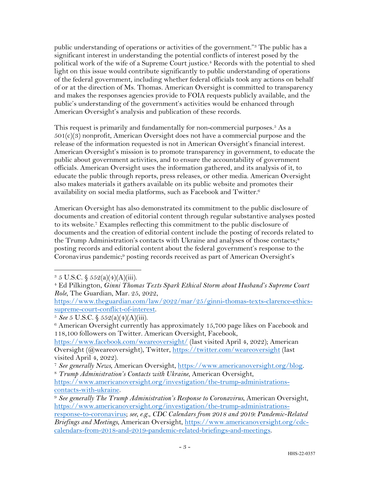public understanding of operations or activities of the government."3 The public has a significant interest in understanding the potential conflicts of interest posed by the political work of the wife of a Supreme Court justice. <sup>4</sup> Records with the potential to shed light on this issue would contribute significantly to public understanding of operations of the federal government, including whether federal officials took any actions on behalf of or at the direction of Ms. Thomas. American Oversight is committed to transparency and makes the responses agencies provide to FOIA requests publicly available, and the public's understanding of the government's activities would be enhanced through American Oversight's analysis and publication of these records.

This request is primarily and fundamentally for non-commercial purposes.<sup>5</sup> As a  $501(c)(3)$  nonprofit, American Oversight does not have a commercial purpose and the release of the information requested is not in American Oversight's financial interest. American Oversight's mission is to promote transparency in government, to educate the public about government activities, and to ensure the accountability of government officials. American Oversight uses the information gathered, and its analysis of it, to educate the public through reports, press releases, or other media. American Oversight also makes materials it gathers available on its public website and promotes their availability on social media platforms, such as Facebook and Twitter.6

American Oversight has also demonstrated its commitment to the public disclosure of documents and creation of editorial content through regular substantive analyses posted to its website.7 Examples reflecting this commitment to the public disclosure of documents and the creation of editorial content include the posting of records related to the Trump Administration's contacts with Ukraine and analyses of those contacts;<sup>8</sup> posting records and editorial content about the federal government's response to the Coronavirus pandemic;9 posting records received as part of American Oversight's

https://www.theguardian.com/law/2022/mar/25/ginni-thomas-texts-clarence-ethicssupreme-court-conflict-of-interest. 5 *See* 5 U.S.C. § 552(a)(4)(A)(iii).

https://www.facebook.com/weareoversight/ (last visited April 4, 2022); American Oversight (@weareoversight), Twitter, https://twitter.com/weareoversight (last visited April 4, 2022).

 $3 \, 5 \, \text{U.S.C.} \, \S \, 552(a)(4)(\text{A})(iii).$ 

<sup>4</sup> Ed Pilkington, *Ginni Thomas Texts Spark Ethical Storm about Husband's Supreme Court Role*, The Guardian, Mar. 25, 2022,

<sup>&</sup>lt;sup>6</sup> American Oversight currently has approximately 15,700 page likes on Facebook and 118,100 followers on Twitter. American Oversight, Facebook,

<sup>7</sup> *See generally News*, American Oversight, https://www.americanoversight.org/blog. 8 *Trump Administration's Contacts with Ukraine*, American Oversight,

https://www.americanoversight.org/investigation/the-trump-administrationscontacts-with-ukraine.

<sup>9</sup> *See generally The Trump Administration's Response to Coronavirus*, American Oversight, https://www.americanoversight.org/investigation/the-trump-administrationsresponse-to-coronavirus; *see, e.g.*, *CDC Calendars from 2018 and 2019: Pandemic-Related* 

*Briefings and Meetings*, American Oversight, https://www.americanoversight.org/cdccalendars-from-2018-and-2019-pandemic-related-briefings-and-meetings.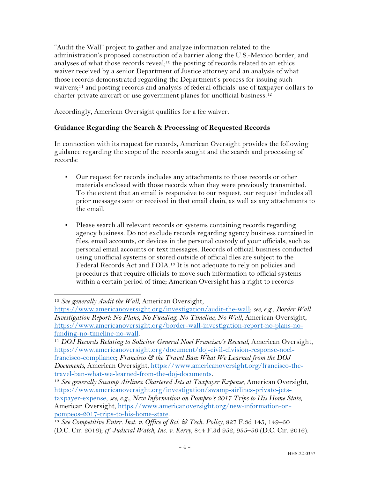"Audit the Wall" project to gather and analyze information related to the administration's proposed construction of a barrier along the U.S.-Mexico border, and analyses of what those records reveal;<sup>10</sup> the posting of records related to an ethics waiver received by a senior Department of Justice attorney and an analysis of what those records demonstrated regarding the Department's process for issuing such waivers;<sup>11</sup> and posting records and analysis of federal officials' use of taxpayer dollars to charter private aircraft or use government planes for unofficial business.<sup>12</sup>

Accordingly, American Oversight qualifies for a fee waiver.

## **Guidance Regarding the Search & Processing of Requested Records**

In connection with its request for records, American Oversight provides the following guidance regarding the scope of the records sought and the search and processing of records:

- Our request for records includes any attachments to those records or other materials enclosed with those records when they were previously transmitted. To the extent that an email is responsive to our request, our request includes all prior messages sent or received in that email chain, as well as any attachments to the email.
- Please search all relevant records or systems containing records regarding agency business. Do not exclude records regarding agency business contained in files, email accounts, or devices in the personal custody of your officials, such as personal email accounts or text messages. Records of official business conducted using unofficial systems or stored outside of official files are subject to the Federal Records Act and FOIA.13 It is not adequate to rely on policies and procedures that require officials to move such information to official systems within a certain period of time; American Oversight has a right to records

<sup>10</sup> *See generally Audit the Wall*, American Oversight,

https://www.americanoversight.org/investigation/audit-the-wall; *see, e.g.*, *Border Wall Investigation Report: No Plans, No Funding, No Timeline, No Wall*, American Oversight, https://www.americanoversight.org/border-wall-investigation-report-no-plans-no-

funding-no-timeline-no-wall. 11 *DOJ Records Relating to Solicitor General Noel Francisco's Recusal*, American Oversight, https://www.americanoversight.org/document/doj-civil-division-response-noelfrancisco-compliance; *Francisco & the Travel Ban: What We Learned from the DOJ Documents*, American Oversight, https://www.americanoversight.org/francisco-thetravel-ban-what-we-learned-from-the-doj-documents.

<sup>&</sup>lt;sup>12</sup> See generally Swamp Airlines: Chartered Jets at Taxpayer Expense, American Oversight, https://www.americanoversight.org/investigation/swamp-airlines-private-jetstaxpayer-expense; *see, e.g.*, *New Information on Pompeo's 2017 Trips to His Home State*, American Oversight, https://www.americanoversight.org/new-information-onpompeos-2017-trips-to-his-home-state.

<sup>13</sup> *See Competitive Enter. Inst. v. Office of Sci. & Tech. Policy*, 827 F.3d 145, 149–50 (D.C. Cir. 2016); *cf. Judicial Watch, Inc. v. Kerry*, 844 F.3d 952, 955–56 (D.C. Cir. 2016).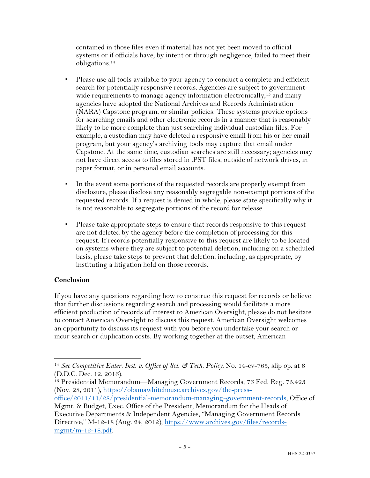contained in those files even if material has not yet been moved to official systems or if officials have, by intent or through negligence, failed to meet their obligations.14

- Please use all tools available to your agency to conduct a complete and efficient search for potentially responsive records. Agencies are subject to governmentwide requirements to manage agency information electronically,<sup>15</sup> and many agencies have adopted the National Archives and Records Administration (NARA) Capstone program, or similar policies. These systems provide options for searching emails and other electronic records in a manner that is reasonably likely to be more complete than just searching individual custodian files. For example, a custodian may have deleted a responsive email from his or her email program, but your agency's archiving tools may capture that email under Capstone. At the same time, custodian searches are still necessary; agencies may not have direct access to files stored in .PST files, outside of network drives, in paper format, or in personal email accounts.
- In the event some portions of the requested records are properly exempt from disclosure, please disclose any reasonably segregable non-exempt portions of the requested records. If a request is denied in whole, please state specifically why it is not reasonable to segregate portions of the record for release.
- Please take appropriate steps to ensure that records responsive to this request are not deleted by the agency before the completion of processing for this request. If records potentially responsive to this request are likely to be located on systems where they are subject to potential deletion, including on a scheduled basis, please take steps to prevent that deletion, including, as appropriate, by instituting a litigation hold on those records.

## **Conclusion**

If you have any questions regarding how to construe this request for records or believe that further discussions regarding search and processing would facilitate a more efficient production of records of interest to American Oversight, please do not hesitate to contact American Oversight to discuss this request. American Oversight welcomes an opportunity to discuss its request with you before you undertake your search or incur search or duplication costs. By working together at the outset, American

<sup>14</sup> *See Competitive Enter. Inst. v. Office of Sci. & Tech. Policy*, No. 14-cv-765, slip op. at 8 (D.D.C. Dec. 12, 2016).

<sup>&</sup>lt;sup>15</sup> Presidential Memorandum—Managing Government Records, 76 Fed. Reg. 75,423 (Nov. 28, 2011), https://obamawhitehouse.archives.gov/the-press-

office/2011/11/28/presidential-memorandum-managing-government-records; Office of Mgmt. & Budget, Exec. Office of the President, Memorandum for the Heads of

Executive Departments & Independent Agencies, "Managing Government Records Directive," M-12-18 (Aug. 24, 2012), https://www.archives.gov/files/recordsmgmt/m-12-18.pdf.